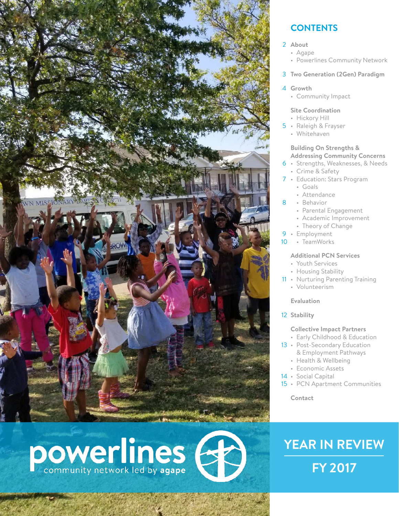

# powerlines (

## **CONTENTS**

#### **About** 2

- Agape
- Powerlines Community Network
- **Two Generation (2Gen) Paradigm** 3
- **Growth** 4
	- Community Impact

#### **Site Coordination**

- Hickory Hill
- 5 Raleigh & Frayser
	- Whitehaven

#### **Building On Strengths & Addressing Community Concerns**

- Strengths, Weaknesses, & Needs 6 • Crime & Safety
- Education: Stars Program 7 • Goals
	- Attendance
- Behavior 8
	- Parental Engagement
	- Academic Improvement
	- Theory of Change
- 9 · Employment
- 10 · TeamWorks

#### **Additional PCN Services**

- Youth Services
- Housing Stability
- 11 Nurturing Parenting Training
	- Volunteerism
	- **Evaluation**
- 12 Stability

#### **Collective Impact Partners**

- Early Childhood & Education
- 13 Post-Secondary Education & Employment Pathways
	- Health & Wellbeing
	- Economic Assets
- 14 Social Capital
- 15 PCN Apartment Communities

**Contact**

# **YEAR IN REVIEW FY 2017**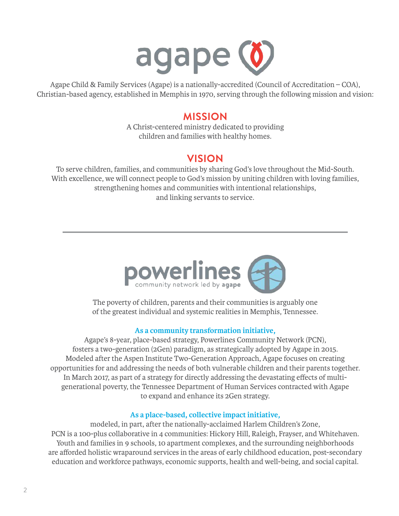

Agape Child & Family Services (Agape) is a nationally-accredited (Council of Accreditation – COA), Christian-based agency, established in Memphis in 1970, serving through the following mission and vision:

#### **MISSION**

A Christ-centered ministry dedicated to providing children and families with healthy homes.

## **VISION**

To serve children, families, and communities by sharing God's love throughout the Mid-South. With excellence, we will connect people to God's mission by uniting children with loving families, strengthening homes and communities with intentional relationships, and linking servants to service.



The poverty of children, parents and their communities is arguably one of the greatest individual and systemic realities in Memphis, Tennessee.

#### **As a community transformation initiative,**

Agape's 8-year, place-based strategy, Powerlines Community Network (PCN), fosters a two-generation (2Gen) paradigm, as strategically adopted by Agape in 2015. Modeled after the Aspen Institute Two-Generation Approach, Agape focuses on creating opportunities for and addressing the needs of both vulnerable children and their parents together. In March 2017, as part of a strategy for directly addressing the devastating effects of multigenerational poverty, the Tennessee Department of Human Services contracted with Agape to expand and enhance its 2Gen strategy.

#### **As a place-based, collective impact initiative,**

modeled, in part, after the nationally-acclaimed Harlem Children's Zone, PCN is a 100-plus collaborative in 4 communities: Hickory Hill, Raleigh, Frayser, and Whitehaven. Youth and families in 9 schools, 10 apartment complexes, and the surrounding neighborhoods are afforded holistic wraparound services in the areas of early childhood education, post-secondary education and workforce pathways, economic supports, health and well-being, and social capital.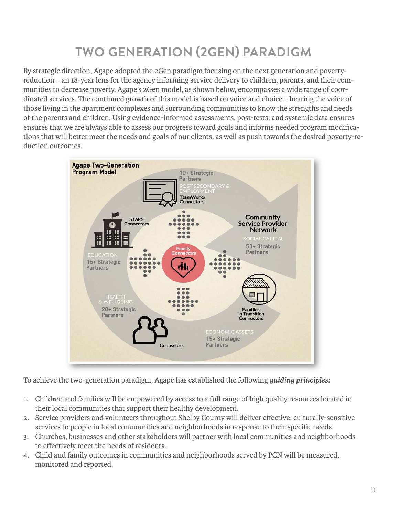# **TWO GENERATION (2GEN) PARADIGM**

By strategic direction, Agape adopted the 2Gen paradigm focusing on the next generation and povertyreduction – an 18-year lens for the agency informing service delivery to children, parents, and their communities to decrease poverty. Agape's 2Gen model, as shown below, encompasses a wide range of coordinated services. The continued growth of this model is based on voice and choice – hearing the voice of those living in the apartment complexes and surrounding communities to know the strengths and needs of the parents and children. Using evidence-informed assessments, post-tests, and systemic data ensures ensures that we are always able to assess our progress toward goals and informs needed program modifications that will better meet the needs and goals of our clients, as well as push towards the desired poverty-reduction outcomes.



To achieve the two-generation paradigm, Agape has established the following *guiding principles:*

- 1. Children and families will be empowered by access to a full range of high quality resources located in their local communities that support their healthy development.
- 2. Service providers and volunteers throughout Shelby County will deliver effective, culturally-sensitive services to people in local communities and neighborhoods in response to their specific needs.
- 3. Churches, businesses and other stakeholders will partner with local communities and neighborhoods to effectively meet the needs of residents.
- 4. Child and family outcomes in communities and neighborhoods served by PCN will be measured, monitored and reported.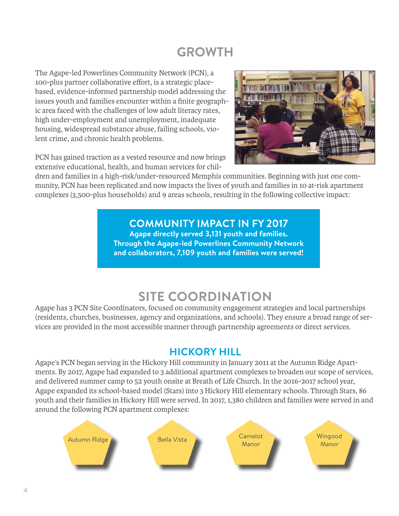# **GROWTH**

The Agape-led Powerlines Community Network (PCN), a 100-plus partner collaborative effort, is a strategic placebased, evidence-informed partnership model addressing the issues youth and families encounter within a finite geographic area faced with the challenges of low adult literacy rates, high under-employment and unemployment, inadequate housing, widespread substance abuse, failing schools, violent crime, and chronic health problems.



PCN has gained traction as a vested resource and now brings extensive educational, health, and human services for chil-

dren and families in 4 high-risk/under-resourced Memphis communities. Beginning with just one community, PCN has been replicated and now impacts the lives of youth and families in 10 at-risk apartment complexes (3,500-plus households) and 9 areas schools, resulting in the following collective impact:

# **COMMUNITY IMPACT IN FY 2017**

**Agape directly served 3,131 youth and families. Through the Agape-led Powerlines Community Network and collaborators, 7,109 youth and families were served!**

# **SITE COORDINATION**

Agape has 3 PCN Site Coordinators, focused on community engagement strategies and local partnerships (residents, churches, businesses, agency and organizations, and schools). They ensure a broad range of services are provided in the most accessible manner through partnership agreements or direct services.

# **HICKORY HILL**

Agape's PCN began serving in the Hickory Hill community in January 2011 at the Autumn Ridge Apartments. By 2017, Agape had expanded to 3 additional apartment complexes to broaden our scope of services, and delivered summer camp to 52 youth onsite at Breath of Life Church. In the 2016-2017 school year, Agape expanded its school-based model (Stars) into 3 Hickory Hill elementary schools. Through Stars, 86 youth and their families in Hickory Hill were served. In 2017, 1,380 children and families were served in and around the following PCN apartment complexes:

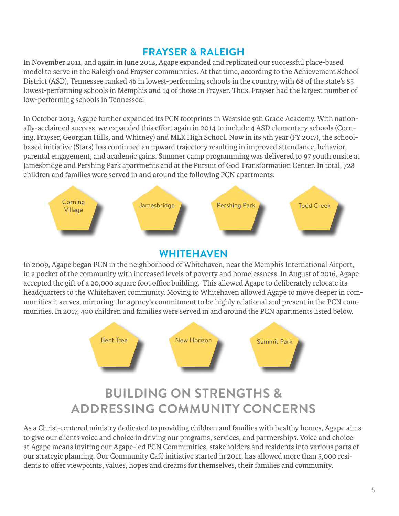## **FRAYSER & RALEIGH**

In November 2011, and again in June 2012, Agape expanded and replicated our successful place-based model to serve in the Raleigh and Frayser communities. At that time, according to the Achievement School District (ASD), Tennessee ranked 46 in lowest-performing schools in the country, with 68 of the state's 85 lowest-performing schools in Memphis and 14 of those in Frayser. Thus, Frayser had the largest number of low-performing schools in Tennessee!

In October 2013, Agape further expanded its PCN footprints in Westside 9th Grade Academy. With nationally-acclaimed success, we expanded this effort again in 2014 to include 4 ASD elementary schools (Corning, Frayser, Georgian Hills, and Whitney) and MLK High School. Now in its 5th year (FY 2017), the schoolbased initiative (Stars) has continued an upward trajectory resulting in improved attendance, behavior, parental engagement, and academic gains. Summer camp programming was delivered to 97 youth onsite at Jamesbridge and Pershing Park apartments and at the Pursuit of God Transformation Center. In total, 728 children and families were served in and around the following PCN apartments:



## **WHITEHAVEN**

In 2009, Agape began PCN in the neighborhood of Whitehaven, near the Memphis International Airport, in a pocket of the community with increased levels of poverty and homelessness. In August of 2016, Agape accepted the gift of a 20,000 square foot office building. This allowed Agape to deliberately relocate its headquarters to the Whitehaven community. Moving to Whitehaven allowed Agape to move deeper in communities it serves, mirroring the agency's commitment to be highly relational and present in the PCN communities. In 2017, 400 children and families were served in and around the PCN apartments listed below.



# **BUILDING ON STRENGTHS & ADDRESSING COMMUNITY CONCERNS**

As a Christ-centered ministry dedicated to providing children and families with healthy homes, Agape aims to give our clients voice and choice in driving our programs, services, and partnerships. Voice and choice at Agape means inviting our Agape-led PCN Communities, stakeholders and residents into various parts of our strategic planning. Our Community Café initiative started in 2011, has allowed more than 5,000 residents to offer viewpoints, values, hopes and dreams for themselves, their families and community.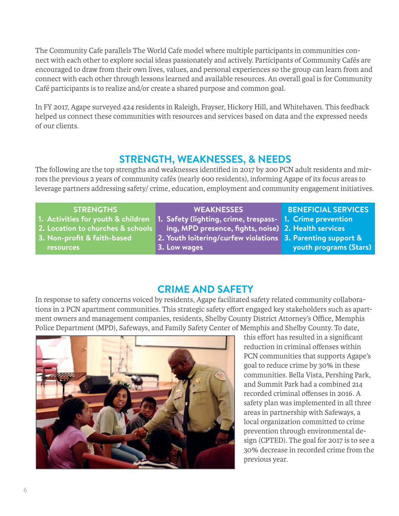The Community Cafe parallels The World Cafe model where multiple participants in communities connect with each other to explore social ideas passionately and actively. Participants of Community Cafés are encouraged to draw from their own lives, values, and personal experiences so the group can learn from and connect with each other through lessons learned and available resources. An overall goal is for Community Café participants is to realize and/or create a shared purpose and common goal.

In FY 2017, Agape surveyed 424 residents in Raleigh, Frayser, Hickory Hill, and Whitehaven. This feedback helped us connect these communities with resources and services based on data and the expressed needs of our clients.

# **STRENGTH, WEAKNESSES, & NEEDS**

The following are the top strengths and weaknesses identified in 2017 by 200 PCN adult residents and mirrors the previous 2 years of community cafés (nearly 600 residents), informing Agape of its focus areas to leverage partners addressing safety/ crime, education, employment and community engagement initiatives.

#### **STRENGTHS**

- **1. Activities for youth & children**
- **2. Location to churches & schools**
- **3. Non-profit & faith-based resources**
- **WEAKNESSES**
- **1. Safety (lighting, crime, trespass-**
- **ing, MPD presence, fights, noise) 2. Health services**
- **2. Youth loitering/curfew violations**
- **3. Low wages**

#### **BENEFICIAL SERVICES**

- **1. Crime prevention**
- 
- **3. Parenting support &** 
	- **youth programs (Stars)**

# **CRIME AND SAFETY**

In response to safety concerns voiced by residents, Agape facilitated safety related community collaborations in 2 PCN apartment communities. This strategic safety effort engaged key stakeholders such as apartment owners and management companies, residents, Shelby County District Attorney's Office, Memphis Police Department (MPD), Safeways, and Family Safety Center of Memphis and Shelby County. To date,



this effort has resulted in a significant reduction in criminal offenses within PCN communities that supports Agape's goal to reduce crime by 30% in these communities. Bella Vista, Pershing Park, and Summit Park had a combined 214 recorded criminal offenses in 2016. A safety plan was implemented in all three areas in partnership with Safeways, a local organization committed to crime prevention through environmental design (CPTED). The goal for 2017 is to see a 30% decrease in recorded crime from the previous year.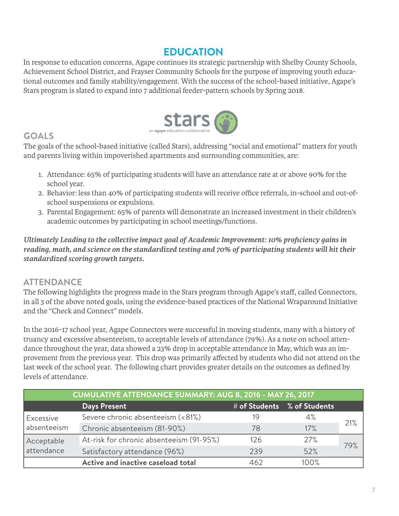# **EDUCATION**

In response to education concerns, Agape continues its strategic partnership with Shelby County Schools, Achievement School District, and Frayser Community Schools for the purpose of improving youth educational outcomes and family stability/engagement. With the success of the school-based initiative, Agape's Stars program is slated to expand into 7 additional feeder-pattern schools by Spring 2018.



## **GOALS**

The goals of the school-based initiative (called Stars), addressing "social and emotional" matters for youth and parents living within impoverished apartments and surrounding communities, are:

- 1. Attendance: 65% of participating students will have an attendance rate at or above 90% for the school year.
- 2. Behavior: less than 40% of participating students will receive office referrals, in-school and out-ofschool suspensions or expulsions.
- 3. Parental Engagement: 65% of parents will demonstrate an increased investment in their children's academic outcomes by participating in school meetings/functions.

*Ultimately Leading to the collective impact goal of Academic Improvement: 10% proficiency gains in reading, math, and science on the standardized testing and 70% of participating students will hit their standardized scoring growth targets.*

#### **ATTENDANCE**

The following highlights the progress made in the Stars program through Agape's staff, called Connectors, in all 3 of the above noted goals, using the evidence-based practices of the National Wraparound Initiative and the "Check and Connect" models.

In the 2016-17 school year, Agape Connectors were successful in moving students, many with a history of truancy and excessive absenteeism, to acceptable levels of attendance (79%). As a note on school attendance throughout the year, data showed a 23% drop in acceptable attendance in May, which was an improvement from the previous year. This drop was primarily affected by students who did not attend on the last week of the school year. The following chart provides greater details on the outcomes as defined by levels of attendance.

| CUMULATIVE ATTENDANCE SUMMARY: AUG 8, 2016 - MAY 26, 2017 |                                          |     |                             |     |  |  |
|-----------------------------------------------------------|------------------------------------------|-----|-----------------------------|-----|--|--|
|                                                           | <b>Days Present</b>                      |     | # of Students % of Students |     |  |  |
| Excessive<br>absenteeism                                  | Severe chronic absenteeism (<81%)        | 19  | 4%                          | 21% |  |  |
|                                                           | Chronic absenteeism (81-90%)             | 78  | 17%                         |     |  |  |
| Acceptable<br>attendance                                  | At-risk for chronic absenteeism (91-95%) | 126 | 27%                         | 79% |  |  |
|                                                           | Satisfactory attendance (96%)            | 239 | 52%                         |     |  |  |
|                                                           | Active and inactive caseload total       | 462 | 100%                        |     |  |  |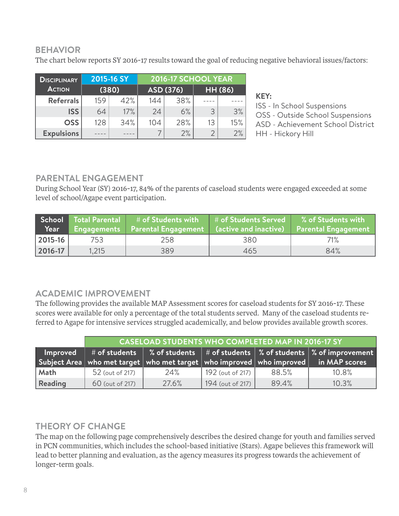#### **BEHAVIOR**

The chart below reports SY 2016-17 results toward the goal of reducing negative behavioral issues/factors:

| <b>DISCIPLINARY</b> | 2015-16 SY<br>(380) |     | 2016-17 SCHOOL YEAR |     |                |     |
|---------------------|---------------------|-----|---------------------|-----|----------------|-----|
| <b>ACTION</b>       |                     |     | ASD (376)           |     | <b>HH (86)</b> |     |
| <b>Referrals</b>    | 159                 | 42% | 144                 | 38% |                |     |
| <b>ISS</b>          | 64                  | 17% | 24                  | 6%  | 3              | 3%  |
| <b>OSS</b>          | 128                 | 34% | 104                 | 28% | 13             | 15% |
| <b>Expulsions</b>   |                     |     |                     | 2%  |                | 2%  |

**KEY:** ISS - In School Suspensions OSS - Outside School Suspensions ASD - Achievement School District HH - Hickory Hill

#### **PARENTAL ENGAGEMENT**

During School Year (SY) 2016-17, 84% of the parents of caseload students were engaged exceeded at some level of school/Agape event participation.

| Year          |       | School Total Parental # of Students with<br>Engagements   Parental Engagement   (active and inactive) | $\#$ of Students Served | % of Students with<br><b>Parental Engagement</b> |
|---------------|-------|-------------------------------------------------------------------------------------------------------|-------------------------|--------------------------------------------------|
| $ 2015 - 16 $ | 753   | 258                                                                                                   | 380                     | 71%                                              |
| 2016-17       | 1,215 | 389                                                                                                   | 465                     | 84%                                              |

#### **ACADEMIC IMPROVEMENT**

The following provides the available MAP Assessment scores for caseload students for SY 2016-17. These scores were available for only a percentage of the total students served. Many of the caseload students referred to Agape for intensive services struggled academically, and below provides available growth scores.

|                | <b>CASELOAD STUDENTS WHO COMPLETED MAP IN 2016-17 SY</b> |       |                  |       |                                                                                                                              |
|----------------|----------------------------------------------------------|-------|------------------|-------|------------------------------------------------------------------------------------------------------------------------------|
| Improved       |                                                          |       |                  |       | $\#$ of students $\ $ % of students $\ $ # of students $\ $ % of students $\ $ % of improvement $\ $                         |
|                |                                                          |       |                  |       | $\mid$ Subject Area $\mid$ who met target $\mid$ who met target $\mid$ who improved $\mid$ who improved $\mid$ in MAP scores |
| Math           | 52 (out of 217)                                          | 24%   | 192 (out of 217) | 88.5% | 10.8%                                                                                                                        |
| <b>Reading</b> | 60 (out of 217)                                          | 27.6% | 194 (out of 217) | 89.4% | 10.3%                                                                                                                        |

#### **THEORY OF CHANGE**

The map on the following page comprehensively describes the desired change for youth and families served in PCN communities, which includes the school-based initiative (Stars). Agape believes this framework will lead to better planning and evaluation, as the agency measures its progress towards the achievement of longer-term goals.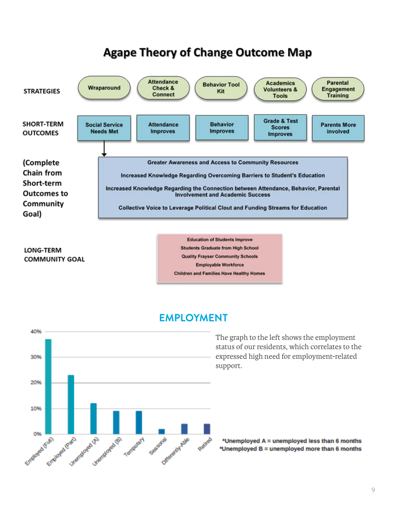

**LONG-TERM COMMUNITY GOAL** 

**Education of Students Improve Students Graduate from High School Quality Frayser Community Schools** Employable Workforce **Children and Families Have Healthy Homes** 





The graph to the left shows the employment status of our residents, which correlates to the expressed high need for employment-related support.

\*Unemployed A = unemployed less than 6 months \*Unemployed B = unemployed more than 6 months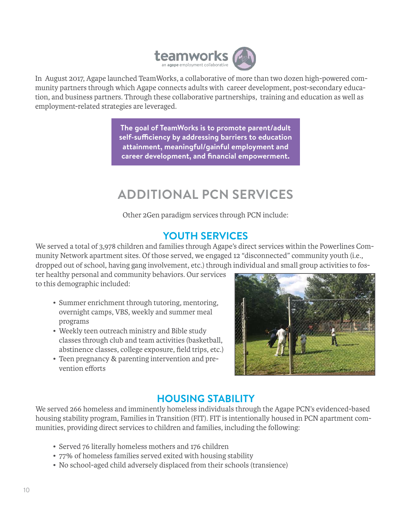

In August 2017, Agape launched TeamWorks, a collaborative of more than two dozen high-powered community partners through which Agape connects adults with career development, post-secondary education, and business partners. Through these collaborative partnerships, training and education as well as employment-related strategies are leveraged.

> **The goal of TeamWorks is to promote parent/adult self-sufficiency by addressing barriers to education attainment, meaningful/gainful employment and career development, and financial empowerment.**

# **ADDITIONAL PCN SERVICES**

Other 2Gen paradigm services through PCN include:

# **YOUTH SERVICES**

We served a total of 3,978 children and families through Agape's direct services within the Powerlines Community Network apartment sites. Of those served, we engaged 12 "disconnected" community youth (i.e., dropped out of school, having gang involvement, etc.) through individual and small group activities to fos-

ter healthy personal and community behaviors. Our services to this demographic included:

- Summer enrichment through tutoring, mentoring, overnight camps, VBS, weekly and summer meal programs
- Weekly teen outreach ministry and Bible study classes through club and team activities (basketball, abstinence classes, college exposure, field trips, etc.)
- Teen pregnancy & parenting intervention and prevention efforts



# **HOUSING STABILITY**

We served 266 homeless and imminently homeless individuals through the Agape PCN's evidenced-based housing stability program, Families in Transition (FIT). FIT is intentionally housed in PCN apartment communities, providing direct services to children and families, including the following:

- Served 76 literally homeless mothers and 176 children
- 77% of homeless families served exited with housing stability
- No school-aged child adversely displaced from their schools (transience)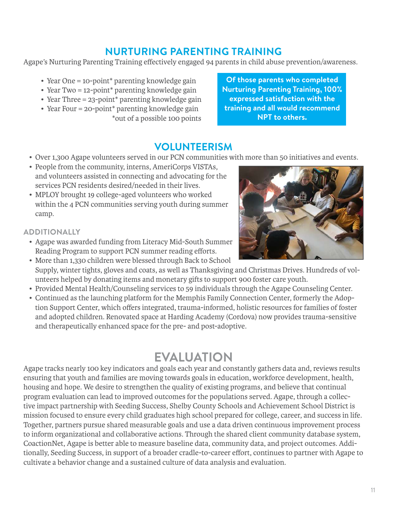## **NURTURING PARENTING TRAINING**

Agape's Nurturing Parenting Training effectively engaged 94 parents in child abuse prevention/awareness.

- Year One = 10-point<sup>\*</sup> parenting knowledge gain
- Year Two = 12-point\* parenting knowledge gain
- Year Three = 23-point\* parenting knowledge gain
- Year Four = 20-point\* parenting knowledge gain \*out of a possible 100 points

#### **Of those parents who completed Nurturing Parenting Training, 100% expressed satisfaction with the training and all would recommend NPT to others.**

# **VOLUNTEERISM**

- Over 1,300 Agape volunteers served in our PCN communities with more than 50 initiatives and events.
- People from the community, interns, AmeriCorps VISTAs, and volunteers assisted in connecting and advocating for the services PCN residents desired/needed in their lives.
- MPLOY brought 19 college-aged volunteers who worked within the 4 PCN communities serving youth during summer camp.

#### **ADDITIONALLY**

- Agape was awarded funding from Literacy Mid-South Summer Reading Program to support PCN summer reading efforts.
- More than 1,330 children were blessed through Back to School Supply, winter tights, gloves and coats, as well as Thanksgiving and Christmas Drives. Hundreds of volunteers helped by donating items and monetary gifts to support 900 foster care youth.
- Provided Mental Health/Counseling services to 59 individuals through the Agape Counseling Center.
- Continued as the launching platform for the Memphis Family Connection Center, formerly the Adoption Support Center, which offers integrated, trauma-informed, holistic resources for families of foster and adopted children. Renovated space at Harding Academy (Cordova) now provides trauma-sensitive and therapeutically enhanced space for the pre- and post-adoptive.

# **EVALUATION**

Agape tracks nearly 100 key indicators and goals each year and constantly gathers data and, reviews results ensuring that youth and families are moving towards goals in education, workforce development, health, housing and hope. We desire to strengthen the quality of existing programs, and believe that continual program evaluation can lead to improved outcomes for the populations served. Agape, through a collective impact partnership with Seeding Success, Shelby County Schools and Achievement School District is mission focused to ensure every child graduates high school prepared for college, career, and success in life. Together, partners pursue shared measurable goals and use a data driven continuous improvement process to inform organizational and collaborative actions. Through the shared client community database system, CoactionNet, Agape is better able to measure baseline data, community data, and project outcomes. Additionally, Seeding Success, in support of a broader cradle-to-career effort, continues to partner with Agape to cultivate a behavior change and a sustained culture of data analysis and evaluation.

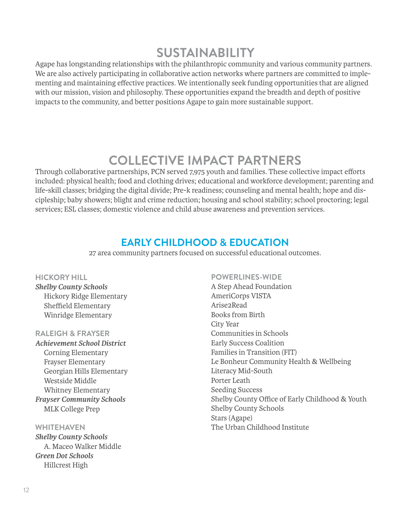# **SUSTAINABILITY**

Agape has longstanding relationships with the philanthropic community and various community partners. We are also actively participating in collaborative action networks where partners are committed to implementing and maintaining effective practices. We intentionally seek funding opportunities that are aligned with our mission, vision and philosophy. These opportunities expand the breadth and depth of positive impacts to the community, and better positions Agape to gain more sustainable support.

# **COLLECTIVE IMPACT PARTNERS**

Through collaborative partnerships, PCN served 7,975 youth and families. These collective impact efforts included: physical health; food and clothing drives; educational and workforce development; parenting and life-skill classes; bridging the digital divide; Pre-k readiness; counseling and mental health; hope and discipleship; baby showers; blight and crime reduction; housing and school stability; school proctoring; legal services; ESL classes; domestic violence and child abuse awareness and prevention services.

## **EARLY CHILDHOOD & EDUCATION**

27 area community partners focused on successful educational outcomes.

#### **HICKORY HILL**

*Shelby County Schools* Hickory Ridge Elementary Sheffield Elementary Winridge Elementary

#### **RALEIGH & FRAYSER**

*Achievement School District* Corning Elementary Frayser Elementary Georgian Hills Elementary Westside Middle Whitney Elementary *Frayser Community Schools* MLK College Prep

**WHITEHAVEN** *Shelby County Schools* A. Maceo Walker Middle *Green Dot Schools*  Hillcrest High

#### **POWERLINES-WIDE**

A Step Ahead Foundation AmeriCorps VISTA Arise2Read Books from Birth City Year Communities in Schools Early Success Coalition Families in Transition (FIT) Le Bonheur Community Health & Wellbeing Literacy Mid-South Porter Leath Seeding Success Shelby County Office of Early Childhood & Youth Shelby County Schools Stars (Agape) The Urban Childhood Institute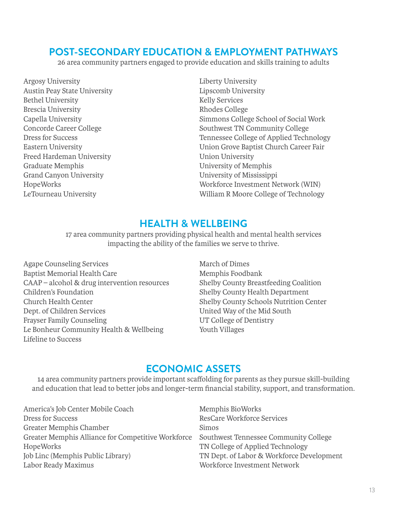## **POST-SECONDARY EDUCATION & EMPLOYMENT PATHWAYS**

26 area community partners engaged to provide education and skills training to adults

Argosy University Austin Peay State University Bethel University Brescia University Capella University Concorde Career College Dress for Success Eastern University Freed Hardeman University Graduate Memphis Grand Canyon University HopeWorks LeTourneau University

Liberty University Lipscomb University Kelly Services Rhodes College Simmons College School of Social Work Southwest TN Community College Tennessee College of Applied Technology Union Grove Baptist Church Career Fair Union University University of Memphis University of Mississippi Workforce Investment Network (WIN) William R Moore College of Technology

## **HEALTH & WELLBEING**

17 area community partners providing physical health and mental health services impacting the ability of the families we serve to thrive.

Agape Counseling Services Baptist Memorial Health Care CAAP – alcohol & drug intervention resources Children's Foundation Church Health Center Dept. of Children Services Frayser Family Counseling Le Bonheur Community Health & Wellbeing Lifeline to Success

March of Dimes Memphis Foodbank Shelby County Breastfeeding Coalition Shelby County Health Department Shelby County Schools Nutrition Center United Way of the Mid South UT College of Dentistry Youth Villages

## **ECONOMIC ASSETS**

14 area community partners provide important scaffolding for parents as they pursue skill-building and education that lead to better jobs and longer-term financial stability, support, and transformation.

Greater Memphis Alliance for Competitive Workforce Southwest Tennessee Community College America's Job Center Mobile Coach Dress for Success Greater Memphis Chamber HopeWorks Job Linc (Memphis Public Library) Labor Ready Maximus

Memphis BioWorks ResCare Workforce Services Simos TN College of Applied Technology TN Dept. of Labor & Workforce Development Workforce Investment Network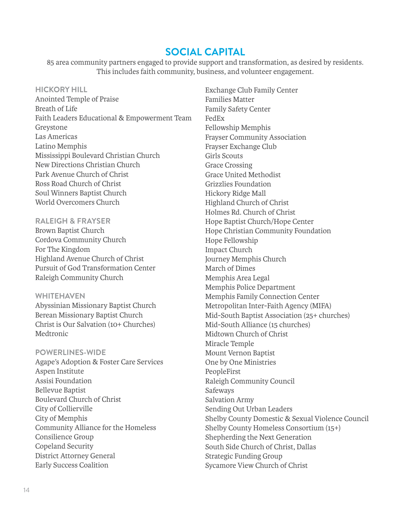#### **SOCIAL CAPITAL**

85 area community partners engaged to provide support and transformation, as desired by residents. This includes faith community, business, and volunteer engagement.

#### **HICKORY HILL**

Anointed Temple of Praise Breath of Life Faith Leaders Educational & Empowerment Team Greystone Las Americas Latino Memphis Mississippi Boulevard Christian Church New Directions Christian Church Park Avenue Church of Christ Ross Road Church of Christ Soul Winners Baptist Church World Overcomers Church

**RALEIGH & FRAYSER** Brown Baptist Church Cordova Community Church For The Kingdom Highland Avenue Church of Christ Pursuit of God Transformation Center Raleigh Community Church

#### **WHITEHAVEN**

Abyssinian Missionary Baptist Church Berean Missionary Baptist Church Christ is Our Salvation (10+ Churches) Medtronic

**POWERLINES-WIDE** Agape's Adoption & Foster Care Services Aspen Institute Assisi Foundation Bellevue Baptist Boulevard Church of Christ City of Collierville City of Memphis Community Alliance for the Homeless Consilience Group Copeland Security District Attorney General Early Success Coalition

Exchange Club Family Center Families Matter Family Safety Center FedEx Fellowship Memphis Frayser Community Association Frayser Exchange Club Girls Scouts Grace Crossing Grace United Methodist Grizzlies Foundation Hickory Ridge Mall Highland Church of Christ Holmes Rd. Church of Christ Hope Baptist Church/Hope Center Hope Christian Community Foundation Hope Fellowship Impact Church Journey Memphis Church March of Dimes Memphis Area Legal Memphis Police Department Memphis Family Connection Center Metropolitan Inter-Faith Agency (MIFA) Mid-South Baptist Association (25+ churches) Mid-South Alliance (15 churches) Midtown Church of Christ Miracle Temple Mount Vernon Baptist One by One Ministries PeopleFirst Raleigh Community Council Safeways Salvation Army Sending Out Urban Leaders Shelby County Domestic & Sexual Violence Council Shelby County Homeless Consortium (15+) Shepherding the Next Generation South Side Church of Christ, Dallas Strategic Funding Group Sycamore View Church of Christ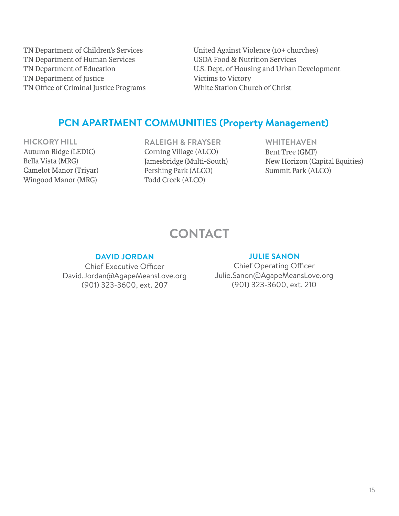TN Department of Children's Services TN Department of Human Services TN Department of Education TN Department of Justice TN Office of Criminal Justice Programs

United Against Violence (10+ churches) USDA Food & Nutrition Services U.S. Dept. of Housing and Urban Development Victims to Victory White Station Church of Christ

## **PCN APARTMENT COMMUNITIES (Property Management)**

**HICKORY HILL** Autumn Ridge (LEDIC) Bella Vista (MRG) Camelot Manor (Triyar) Wingood Manor (MRG)

**RALEIGH & FRAYSER** Corning Village (ALCO) Jamesbridge (Multi-South) Pershing Park (ALCO) Todd Creek (ALCO)

**WHITEHAVEN** Bent Tree (GMF) New Horizon (Capital Equities) Summit Park (ALCO)

# **CONTACT**

#### **DAVID JORDAN**

Chief Executive Officer David.Jordan@AgapeMeansLove.org (901) 323-3600, ext. 207

#### **JULIE SANON**

Chief Operating Officer Julie.Sanon@AgapeMeansLove.org (901) 323-3600, ext. 210